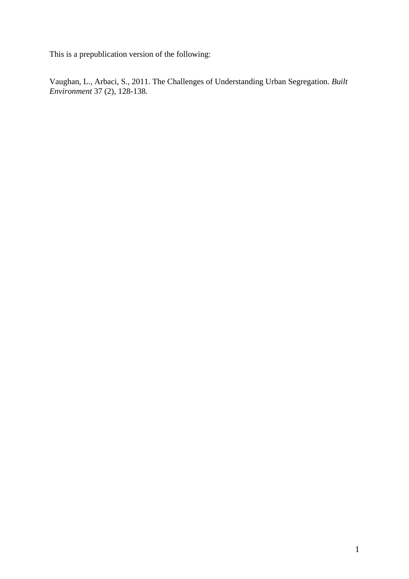This is a prepublication version of the following:

Vaughan, L., Arbaci, S., 2011. The Challenges of Understanding Urban Segregation. *Built Environment* 37 (2), 128-138.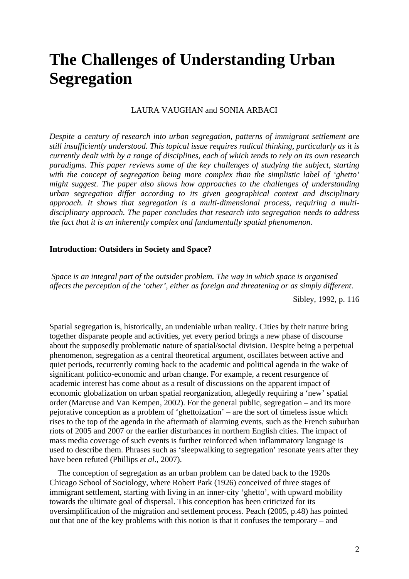# **The Challenges of Understanding Urban Segregation**

## LAURA VAUGHAN and SONIA ARBACI

*Despite a century of research into urban segregation, patterns of immigrant settlement are still insufficiently understood. This topical issue requires radical thinking, particularly as it is currently dealt with by a range of disciplines, each of which tends to rely on its own research paradigms. This paper reviews some of the key challenges of studying the subject, starting with the concept of segregation being more complex than the simplistic label of 'ghetto' might suggest. The paper also shows how approaches to the challenges of understanding urban segregation differ according to its given geographical context and disciplinary approach. It shows that segregation is a multi-dimensional process, requiring a multidisciplinary approach. The paper concludes that research into segregation needs to address the fact that it is an inherently complex and fundamentally spatial phenomenon.* 

## **Introduction: Outsiders in Society and Space?**

*Space is an integral part of the outsider problem. The way in which space is organised affects the perception of the 'other', either as foreign and threatening or as simply different*. Sibley, 1992, p. 116

Spatial segregation is, historically, an undeniable urban reality. Cities by their nature bring together disparate people and activities, yet every period brings a new phase of discourse about the supposedly problematic nature of spatial/social division. Despite being a perpetual phenomenon, segregation as a central theoretical argument, oscillates between active and quiet periods, recurrently coming back to the academic and political agenda in the wake of significant politico-economic and urban change. For example, a recent resurgence of academic interest has come about as a result of discussions on the apparent impact of economic globalization on urban spatial reorganization, allegedly requiring a 'new' spatial order (Marcuse and Van Kempen, 2002). For the general public, segregation – and its more pejorative conception as a problem of 'ghettoization' – are the sort of timeless issue which rises to the top of the agenda in the aftermath of alarming events, such as the French suburban riots of 2005 and 2007 or the earlier disturbances in northern English cities. The impact of mass media coverage of such events is further reinforced when inflammatory language is used to describe them. Phrases such as 'sleepwalking to segregation' resonate years after they have been refuted (Phillips *et al*., 2007).

 The conception of segregation as an urban problem can be dated back to the 1920s Chicago School of Sociology, where Robert Park (1926) conceived of three stages of immigrant settlement, starting with living in an inner-city 'ghetto', with upward mobility towards the ultimate goal of dispersal. This conception has been criticized for its oversimplification of the migration and settlement process. Peach (2005, p.48) has pointed out that one of the key problems with this notion is that it confuses the temporary – and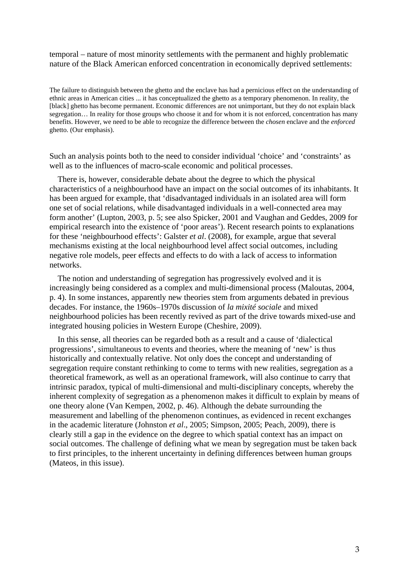temporal – nature of most minority settlements with the permanent and highly problematic nature of the Black American enforced concentration in economically deprived settlements:

The failure to distinguish between the ghetto and the enclave has had a pernicious effect on the understanding of ethnic areas in American cities ... it has conceptualized the ghetto as a temporary phenomenon. In reality, the [black] ghetto has become permanent. Economic differences are not unimportant, but they do not explain black segregation… In reality for those groups who choose it and for whom it is not enforced, concentration has many benefits. However, we need to be able to recognize the difference between the *chosen* enclave and the *enforced* ghetto. (Our emphasis).

Such an analysis points both to the need to consider individual 'choice' and 'constraints' as well as to the influences of macro-scale economic and political processes.

 There is, however, considerable debate about the degree to which the physical characteristics of a neighbourhood have an impact on the social outcomes of its inhabitants. It has been argued for example, that 'disadvantaged individuals in an isolated area will form one set of social relations, while disadvantaged individuals in a well-connected area may form another' (Lupton, 2003, p. 5; see also Spicker, 2001 and Vaughan and Geddes, 2009 for empirical research into the existence of 'poor areas'). Recent research points to explanations for these 'neighbourhood effects': Galster *et al*. (2008), for example, argue that several mechanisms existing at the local neighbourhood level affect social outcomes, including negative role models, peer effects and effects to do with a lack of access to information networks.

 The notion and understanding of segregation has progressively evolved and it is increasingly being considered as a complex and multi-dimensional process (Maloutas, 2004, p. 4). In some instances, apparently new theories stem from arguments debated in previous decades. For instance, the 1960s–1970s discussion of *la mixité sociale* and mixed neighbourhood policies has been recently revived as part of the drive towards mixed-use and integrated housing policies in Western Europe (Cheshire, 2009).

 In this sense, all theories can be regarded both as a result and a cause of 'dialectical progressions', simultaneous to events and theories, where the meaning of 'new' is thus historically and contextually relative. Not only does the concept and understanding of segregation require constant rethinking to come to terms with new realities, segregation as a theoretical framework, as well as an operational framework, will also continue to carry that intrinsic paradox, typical of multi-dimensional and multi-disciplinary concepts, whereby the inherent complexity of segregation as a phenomenon makes it difficult to explain by means of one theory alone (Van Kempen, 2002, p. 46). Although the debate surrounding the measurement and labelling of the phenomenon continues, as evidenced in recent exchanges in the academic literature (Johnston *et al*., 2005; Simpson, 2005; Peach, 2009), there is clearly still a gap in the evidence on the degree to which spatial context has an impact on social outcomes. The challenge of defining what we mean by segregation must be taken back to first principles, to the inherent uncertainty in defining differences between human groups (Mateos, in this issue).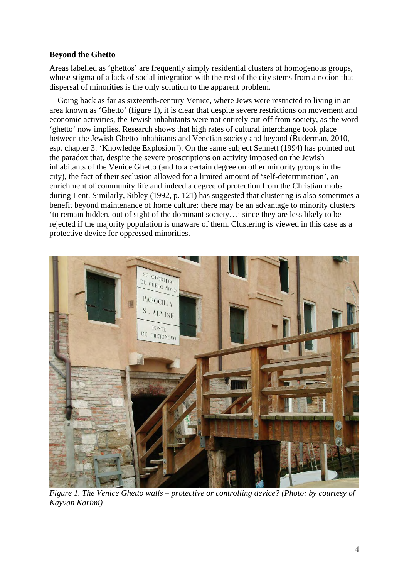# **Beyond the Ghetto**

Areas labelled as 'ghettos' are frequently simply residential clusters of homogenous groups, whose stigma of a lack of social integration with the rest of the city stems from a notion that dispersal of minorities is the only solution to the apparent problem.

 Going back as far as sixteenth-century Venice, where Jews were restricted to living in an area known as 'Ghetto' (figure 1), it is clear that despite severe restrictions on movement and economic activities, the Jewish inhabitants were not entirely cut-off from society, as the word 'ghetto' now implies. Research shows that high rates of cultural interchange took place between the Jewish Ghetto inhabitants and Venetian society and beyond (Ruderman, 2010, esp. chapter 3: 'Knowledge Explosion'). On the same subject Sennett (1994) has pointed out the paradox that, despite the severe proscriptions on activity imposed on the Jewish inhabitants of the Venice Ghetto (and to a certain degree on other minority groups in the city), the fact of their seclusion allowed for a limited amount of 'self-determination', an enrichment of community life and indeed a degree of protection from the Christian mobs during Lent. Similarly, Sibley (1992, p. 121) has suggested that clustering is also sometimes a benefit beyond maintenance of home culture: there may be an advantage to minority clusters 'to remain hidden, out of sight of the dominant society…' since they are less likely to be rejected if the majority population is unaware of them. Clustering is viewed in this case as a protective device for oppressed minorities.



*Figure 1. The Venice Ghetto walls – protective or controlling device? (Photo: by courtesy of Kayvan Karimi)*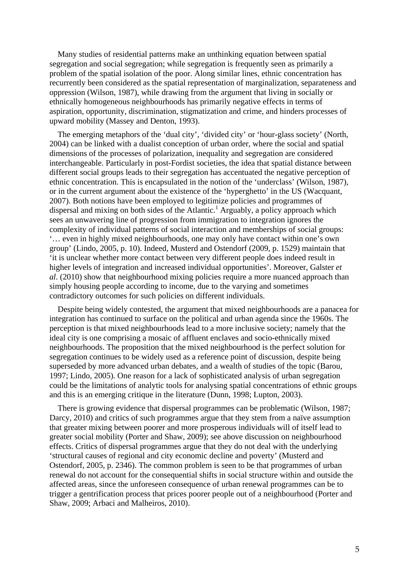Many studies of residential patterns make an unthinking equation between spatial segregation and social segregation; while segregation is frequently seen as primarily a problem of the spatial isolation of the poor. Along similar lines, ethnic concentration has recurrently been considered as the spatial representation of marginalization, separateness and oppression (Wilson, 1987), while drawing from the argument that living in socially or ethnically homogeneous neighbourhoods has primarily negative effects in terms of aspiration, opportunity, discrimination, stigmatization and crime, and hinders processes of upward mobility (Massey and Denton, 1993).

 The emerging metaphors of the 'dual city', 'divided city' or 'hour-glass society' (North, 2004) can be linked with a dualist conception of urban order, where the social and spatial dimensions of the processes of polarization, inequality and segregation are considered interchangeable. Particularly in post-Fordist societies, the idea that spatial distance between different social groups leads to their segregation has accentuated the negative perception of ethnic concentration. This is encapsulated in the notion of the 'underclass' (Wilson, 1987), or in the current argument about the existence of the 'hyperghetto' in the US (Wacquant, 2007). Both notions have been employed to legitimize policies and programmes of dispersal and mixing on both sides of the Atlantic.<sup>1</sup> Arguably, a policy approach which sees an unwavering line of progression from immigration to integration ignores the complexity of individual patterns of social interaction and memberships of social groups: '… even in highly mixed neighbourhoods, one may only have contact within one's own group' (Lindo, 2005, p. 10). Indeed, Musterd and Ostendorf (2009, p. 1529) maintain that 'it is unclear whether more contact between very different people does indeed result in higher levels of integration and increased individual opportunities'. Moreover, Galster *et al*. (2010) show that neighbourhood mixing policies require a more nuanced approach than simply housing people according to income, due to the varying and sometimes contradictory outcomes for such policies on different individuals.

 Despite being widely contested, the argument that mixed neighbourhoods are a panacea for integration has continued to surface on the political and urban agenda since the 1960s. The perception is that mixed neighbourhoods lead to a more inclusive society; namely that the ideal city is one comprising a mosaic of affluent enclaves and socio-ethnically mixed neighbourhoods. The proposition that the mixed neighbourhood is the perfect solution for segregation continues to be widely used as a reference point of discussion, despite being superseded by more advanced urban debates, and a wealth of studies of the topic (Barou, 1997; Lindo, 2005). One reason for a lack of sophisticated analysis of urban segregation could be the limitations of analytic tools for analysing spatial concentrations of ethnic groups and this is an emerging critique in the literature (Dunn, 1998; Lupton, 2003).

 There is growing evidence that dispersal programmes can be problematic (Wilson, 1987; Darcy, 2010) and critics of such programmes argue that they stem from a naïve assumption that greater mixing between poorer and more prosperous individuals will of itself lead to greater social mobility (Porter and Shaw, 2009); see above discussion on neighbourhood effects. Critics of dispersal programmes argue that they do not deal with the underlying 'structural causes of regional and city economic decline and poverty' (Musterd and Ostendorf, 2005, p. 2346). The common problem is seen to be that programmes of urban renewal do not account for the consequential shifts in social structure within and outside the affected areas, since the unforeseen consequence of urban renewal programmes can be to trigger a gentrification process that prices poorer people out of a neighbourhood (Porter and Shaw, 2009; Arbaci and Malheiros, 2010).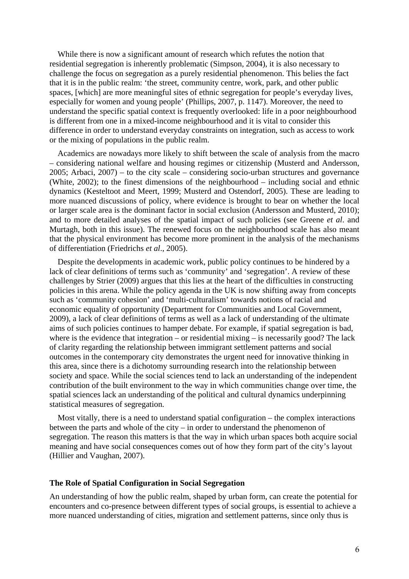While there is now a significant amount of research which refutes the notion that residential segregation is inherently problematic (Simpson, 2004), it is also necessary to challenge the focus on segregation as a purely residential phenomenon. This belies the fact that it is in the public realm: 'the street, community centre, work, park, and other public spaces, [which] are more meaningful sites of ethnic segregation for people's everyday lives, especially for women and young people' (Phillips, 2007, p. 1147). Moreover, the need to understand the specific spatial context is frequently overlooked: life in a poor neighbourhood is different from one in a mixed-income neighbourhood and it is vital to consider this difference in order to understand everyday constraints on integration, such as access to work or the mixing of populations in the public realm.

 Academics are nowadays more likely to shift between the scale of analysis from the macro – considering national welfare and housing regimes or citizenship (Musterd and Andersson, 2005; Arbaci, 2007) – to the city scale – considering socio-urban structures and governance (White, 2002); to the finest dimensions of the neighbourhood – including social and ethnic dynamics (Kesteltoot and Meert, 1999; Musterd and Ostendorf, 2005). These are leading to more nuanced discussions of policy, where evidence is brought to bear on whether the local or larger scale area is the dominant factor in social exclusion (Andersson and Musterd, 2010); and to more detailed analyses of the spatial impact of such policies (see Greene *et al*. and Murtagh, both in this issue). The renewed focus on the neighbourhood scale has also meant that the physical environment has become more prominent in the analysis of the mechanisms of differentiation (Friedrichs *et al*., 2005).

 Despite the developments in academic work, public policy continues to be hindered by a lack of clear definitions of terms such as 'community' and 'segregation'. A review of these challenges by Strier (2009) argues that this lies at the heart of the difficulties in constructing policies in this arena. While the policy agenda in the UK is now shifting away from concepts such as 'community cohesion' and 'multi-culturalism' towards notions of racial and economic equality of opportunity (Department for Communities and Local Government, 2009), a lack of clear definitions of terms as well as a lack of understanding of the ultimate aims of such policies continues to hamper debate. For example, if spatial segregation is bad, where is the evidence that integration – or residential mixing – is necessarily good? The lack of clarity regarding the relationship between immigrant settlement patterns and social outcomes in the contemporary city demonstrates the urgent need for innovative thinking in this area, since there is a dichotomy surrounding research into the relationship between society and space. While the social sciences tend to lack an understanding of the independent contribution of the built environment to the way in which communities change over time, the spatial sciences lack an understanding of the political and cultural dynamics underpinning statistical measures of segregation.

Most vitally, there is a need to understand spatial configuration – the complex interactions between the parts and whole of the city – in order to understand the phenomenon of segregation. The reason this matters is that the way in which urban spaces both acquire social meaning and have social consequences comes out of how they form part of the city's layout (Hillier and Vaughan, 2007).

## **The Role of Spatial Configuration in Social Segregation**

An understanding of how the public realm, shaped by urban form, can create the potential for encounters and co-presence between different types of social groups, is essential to achieve a more nuanced understanding of cities, migration and settlement patterns, since only thus is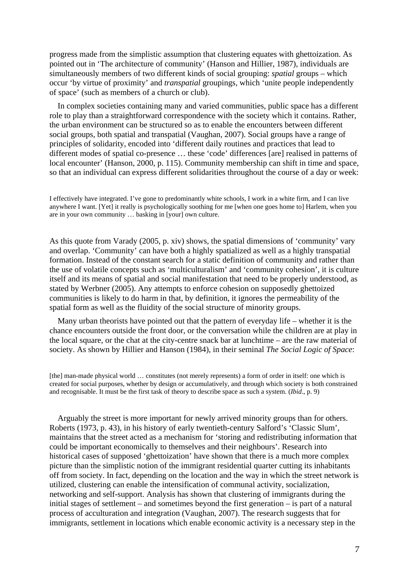progress made from the simplistic assumption that clustering equates with ghettoization. As pointed out in 'The architecture of community' (Hanson and Hillier, 1987), individuals are simultaneously members of two different kinds of social grouping: *spatial* groups – which occur 'by virtue of proximity' and *transpatial* groupings, which 'unite people independently of space' (such as members of a church or club).

 In complex societies containing many and varied communities, public space has a different role to play than a straightforward correspondence with the society which it contains. Rather, the urban environment can be structured so as to enable the encounters between different social groups, both spatial and transpatial (Vaughan, 2007). Social groups have a range of principles of solidarity, encoded into 'different daily routines and practices that lead to different modes of spatial co-presence … these 'code' differences [are] realised in patterns of local encounter' (Hanson, 2000, p. 115). Community membership can shift in time and space, so that an individual can express different solidarities throughout the course of a day or week:

I effectively have integrated. I've gone to predominantly white schools, I work in a white firm, and I can live anywhere I want. [Yet] it really is psychologically soothing for me [when one goes home to] Harlem, when you are in your own community … basking in [your] own culture.

As this quote from Varady (2005, p. xiv) shows, the spatial dimensions of 'community' vary and overlap. 'Community' can have both a highly spatialized as well as a highly transpatial formation. Instead of the constant search for a static definition of community and rather than the use of volatile concepts such as 'multiculturalism' and 'community cohesion', it is culture itself and its means of spatial and social manifestation that need to be properly understood, as stated by Werbner (2005). Any attempts to enforce cohesion on supposedly ghettoized communities is likely to do harm in that, by definition, it ignores the permeability of the spatial form as well as the fluidity of the social structure of minority groups.

 Many urban theorists have pointed out that the pattern of everyday life – whether it is the chance encounters outside the front door, or the conversation while the children are at play in the local square, or the chat at the city-centre snack bar at lunchtime – are the raw material of society. As shown by Hillier and Hanson (1984), in their seminal *The Social Logic of Space*:

[the] man-made physical world … constitutes (not merely represents) a form of order in itself: one which is created for social purposes, whether by design or accumulatively, and through which society is both constrained and recognisable. It must be the first task of theory to describe space as such a system. (*Ibid*., p. 9)

 Arguably the street is more important for newly arrived minority groups than for others. Roberts (1973, p. 43), in his history of early twentieth-century Salford's 'Classic Slum', maintains that the street acted as a mechanism for 'storing and redistributing information that could be important economically to themselves and their neighbours'. Research into historical cases of supposed 'ghettoization' have shown that there is a much more complex picture than the simplistic notion of the immigrant residential quarter cutting its inhabitants off from society. In fact, depending on the location and the way in which the street network is utilized, clustering can enable the intensification of communal activity, socialization, networking and self-support. Analysis has shown that clustering of immigrants during the initial stages of settlement – and sometimes beyond the first generation – is part of a natural process of acculturation and integration (Vaughan, 2007). The research suggests that for immigrants, settlement in locations which enable economic activity is a necessary step in the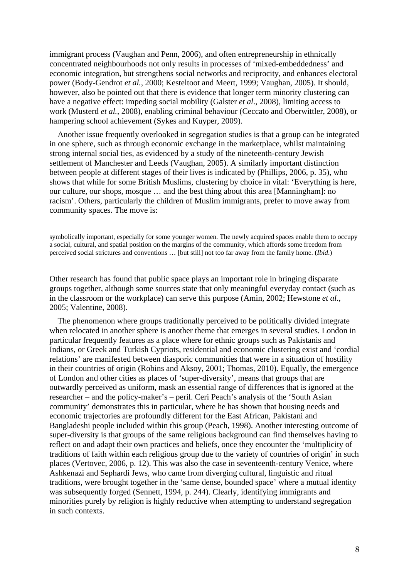immigrant process (Vaughan and Penn, 2006), and often entrepreneurship in ethnically concentrated neighbourhoods not only results in processes of 'mixed-embeddedness' and economic integration, but strengthens social networks and reciprocity, and enhances electoral power (Body-Gendrot *et al.*, 2000; Kesteltoot and Meert, 1999; Vaughan, 2005). It should, however, also be pointed out that there is evidence that longer term minority clustering can have a negative effect: impeding social mobility (Galster *et al*., 2008), limiting access to work (Musterd *et al.*, 2008), enabling criminal behaviour (Ceccato and Oberwittler, 2008), or hampering school achievement (Sykes and Kuyper, 2009).

 Another issue frequently overlooked in segregation studies is that a group can be integrated in one sphere, such as through economic exchange in the marketplace, whilst maintaining strong internal social ties, as evidenced by a study of the nineteenth-century Jewish settlement of Manchester and Leeds (Vaughan, 2005). A similarly important distinction between people at different stages of their lives is indicated by (Phillips, 2006, p. 35), who shows that while for some British Muslims, clustering by choice in vital: 'Everything is here, our culture, our shops, mosque … and the best thing about this area [Manningham]: no racism'. Others, particularly the children of Muslim immigrants, prefer to move away from community spaces. The move is:

symbolically important, especially for some younger women. The newly acquired spaces enable them to occupy a social, cultural, and spatial position on the margins of the community, which affords some freedom from perceived social strictures and conventions … [but still] not too far away from the family home. (*Ibid*.)

Other research has found that public space plays an important role in bringing disparate groups together, although some sources state that only meaningful everyday contact (such as in the classroom or the workplace) can serve this purpose (Amin, 2002; Hewstone *et al*., 2005; Valentine, 2008).

 The phenomenon where groups traditionally perceived to be politically divided integrate when relocated in another sphere is another theme that emerges in several studies. London in particular frequently features as a place where for ethnic groups such as Pakistanis and Indians, or Greek and Turkish Cypriots, residential and economic clustering exist and 'cordial relations' are manifested between diasporic communities that were in a situation of hostility in their countries of origin (Robins and Aksoy, 2001; Thomas, 2010). Equally, the emergence of London and other cities as places of 'super-diversity', means that groups that are outwardly perceived as uniform, mask an essential range of differences that is ignored at the researcher – and the policy-maker's – peril. Ceri Peach's analysis of the 'South Asian community' demonstrates this in particular, where he has shown that housing needs and economic trajectories are profoundly different for the East African, Pakistani and Bangladeshi people included within this group (Peach, 1998). Another interesting outcome of super-diversity is that groups of the same religious background can find themselves having to reflect on and adapt their own practices and beliefs, once they encounter the 'multiplicity of traditions of faith within each religious group due to the variety of countries of origin' in such places (Vertovec, 2006, p. 12). This was also the case in seventeenth-century Venice, where Ashkenazi and Sephardi Jews, who came from diverging cultural, linguistic and ritual traditions, were brought together in the 'same dense, bounded space' where a mutual identity was subsequently forged (Sennett, 1994, p. 244). Clearly, identifying immigrants and minorities purely by religion is highly reductive when attempting to understand segregation in such contexts.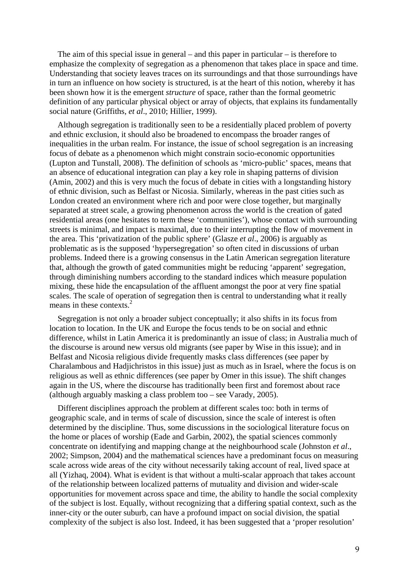The aim of this special issue in general – and this paper in particular – is therefore to emphasize the complexity of segregation as a phenomenon that takes place in space and time. Understanding that society leaves traces on its surroundings and that those surroundings have in turn an influence on how society is structured, is at the heart of this notion, whereby it has been shown how it is the emergent *structure* of space, rather than the formal geometric definition of any particular physical object or array of objects, that explains its fundamentally social nature (Griffiths, *et al*., 2010; Hillier, 1999).

 Although segregation is traditionally seen to be a residentially placed problem of poverty and ethnic exclusion, it should also be broadened to encompass the broader ranges of inequalities in the urban realm. For instance, the issue of school segregation is an increasing focus of debate as a phenomenon which might constrain socio-economic opportunities (Lupton and Tunstall, 2008). The definition of schools as 'micro-public' spaces, means that an absence of educational integration can play a key role in shaping patterns of division (Amin, 2002) and this is very much the focus of debate in cities with a longstanding history of ethnic division, such as Belfast or Nicosia. Similarly, whereas in the past cities such as London created an environment where rich and poor were close together, but marginally separated at street scale, a growing phenomenon across the world is the creation of gated residential areas (one hesitates to term these 'communities'), whose contact with surrounding streets is minimal, and impact is maximal, due to their interrupting the flow of movement in the area. This 'privatization of the public sphere' (Glasze *et al*., 2006) is arguably as problematic as is the supposed 'hypersegregation' so often cited in discussions of urban problems. Indeed there is a growing consensus in the Latin American segregation literature that, although the growth of gated communities might be reducing 'apparent' segregation, through diminishing numbers according to the standard indices which measure population mixing, these hide the encapsulation of the affluent amongst the poor at very fine spatial scales. The scale of operation of segregation then is central to understanding what it really means in these contexts.<sup>2</sup>

 Segregation is not only a broader subject conceptually; it also shifts in its focus from location to location. In the UK and Europe the focus tends to be on social and ethnic difference, whilst in Latin America it is predominantly an issue of class; in Australia much of the discourse is around new versus old migrants (see paper by Wise in this issue); and in Belfast and Nicosia religious divide frequently masks class differences (see paper by Charalambous and Hadjichristos in this issue) just as much as in Israel, where the focus is on religious as well as ethnic differences (see paper by Omer in this issue). The shift changes again in the US, where the discourse has traditionally been first and foremost about race (although arguably masking a class problem too – see Varady, 2005).

 Different disciplines approach the problem at different scales too: both in terms of geographic scale, and in terms of scale of discussion, since the scale of interest is often determined by the discipline. Thus, some discussions in the sociological literature focus on the home or places of worship (Eade and Garbin, 2002), the spatial sciences commonly concentrate on identifying and mapping change at the neighbourhood scale (Johnston *et al*., 2002; Simpson, 2004) and the mathematical sciences have a predominant focus on measuring scale across wide areas of the city without necessarily taking account of real, lived space at all (Yizhaq, 2004). What is evident is that without a multi-scalar approach that takes account of the relationship between localized patterns of mutuality and division and wider-scale opportunities for movement across space and time, the ability to handle the social complexity of the subject is lost. Equally, without recognizing that a differing spatial context, such as the inner-city or the outer suburb, can have a profound impact on social division, the spatial complexity of the subject is also lost. Indeed, it has been suggested that a 'proper resolution'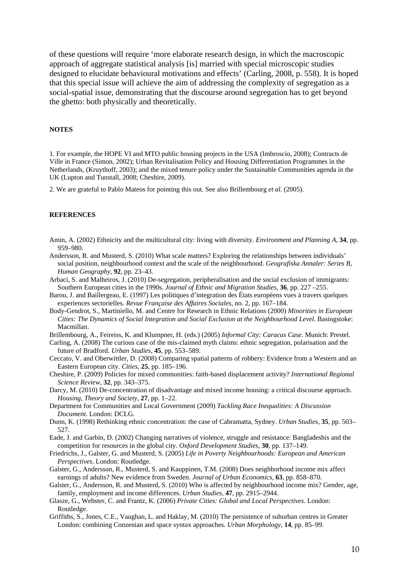of these questions will require 'more elaborate research design, in which the macroscopic approach of aggregate statistical analysis [is] married with special microscopic studies designed to elucidate behavioural motivations and effects' (Carling, 2008, p. 558). It is hoped that this special issue will achieve the aim of addressing the complexity of segregation as a social-spatial issue, demonstrating that the discourse around segregation has to get beyond the ghetto: both physically and theoretically.

#### **NOTES**

1. For example, the HOPE VI and MTO public housing projects in the USA (Imbroscio, 2008); Contracts de Ville in France (Simon, 2002); Urban Revitalisation Policy and Housing Differentiation Programmes in the Netherlands, (Kruythoff, 2003); and the mixed tenure policy under the Sustainable Communities agenda in the UK (Lupton and Tunstall, 2008; Cheshire, 2009).

2. We are grateful to Pablo Mateos for pointing this out. See also Brillembourg *et al*. (2005).

#### **REFERENCES**

- Amin, A. (2002) Ethnicity and the multicultural city: living with diversity. *Environment and Planning A*, **34**, pp. 959–980.
- Andersson, R. and Musterd, S. (2010) What scale matters? Exploring the relationships between individuals' social position, neighbourhood context and the scale of the neighbourhood. *Geografiska Annaler: Series B, Human Geography*, **92**, pp. 23–43.
- Arbaci, S. and Malheiros, J. (2010) De-segregation, peripheralisation and the social exclusion of immigrants: Southern European cities in the 1990s. *Journal of Ethnic and Migration Studies*, **36**, pp. 227 –255.
- Barou, J. and Baillergeau, E. (1997) Les politiques d'integration des États européens vues à travers quelques experiences sectorielles. *Revue Française des Affaires Sociales*, no. 2, pp. 167–184.
- Body-Gendrot, S., Martiniello, M. and Centre for Research in Ethnic Relations (2000) *Minorities in European Cities: The Dynamics of Social Integration and Social Exclusion at the Neighbourhood Level.* Basingstoke: Macmillan.

Brillembourg, A., Feireiss, K. and Klumpner, H. (eds.) (2005) *Informal City: Caracas Case*. Munich: Prestel.

- Carling, A. (2008) The curious case of the mis-claimed myth claims: ethnic segregation, polarisation and the future of Bradford. *Urban Studies*, **45**, pp. 553–589.
- Ceccato, V. and Oberwittler, D. (2008) Comparing spatial patterns of robbery: Evidence from a Western and an Eastern European city. *Cities*, **25**, pp. 185–196.
- Cheshire, P. (2009) Policies for mixed communities: faith-based displacement activity? *International Regional Science Review*, **32**, pp. 343–375.
- Darcy, M. (2010) De-concentration of disadvantage and mixed income housing: a critical discourse approach. *Housing, Theory and Society*, **27**, pp. 1–22.
- Department for Communities and Local Government (2009) *Tackling Race Inequalities: A Discussion Document*. London: DCLG.
- Dunn, K. (1998) Rethinking ethnic concentration: the case of Cabramatta, Sydney. *Urban Studies*, **35**, pp. 503– 527.
- Eade, J. and Garbin, D. (2002) Changing narratives of violence, struggle and resistance: Bangladeshis and the competition for resources in the global city. *Oxford Development Studies*, **30**, pp. 137–149.
- Friedrichs, J., Galster, G. and Musterd, S. (2005) *Life in Poverty Neighbourhoods: European and American Perspectives*. London: Routledge.
- Galster, G., Andersson, R., Musterd, S. and Kauppinen, T.M. (2008) Does neighborhood income mix affect earnings of adults? New evidence from Sweden. *Journal of Urban Economics*, **63**, pp. 858–870.
- Galster, G., Andersson, R. and Musterd, S. (2010) Who is affected by neighbourhood income mix? Gender, age, family, employment and income differences. *Urban Studies*, **47**, pp. 2915–2944.
- Glasze, G., Webster, C. and Frantz, K. (2006) *Private Cities: Global and Local Perspectives*. London: Routledge.
- Griffiths, S., Jones, C.E., Vaughan, L. and Haklay, M. (2010) The persistence of suburban centres in Greater London: combining Conzenian and space syntax approaches. *Urban Morphology*, **14**, pp. 85–99.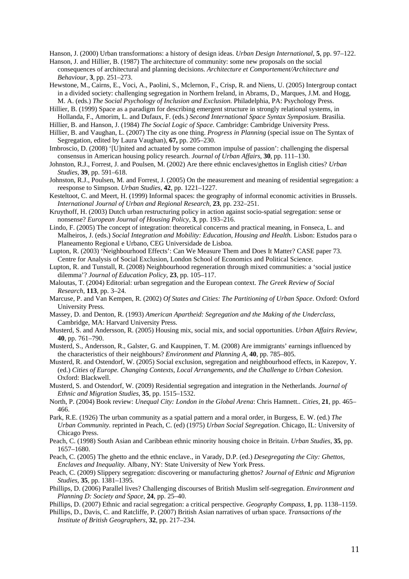Hanson, J. (2000) Urban transformations: a history of design ideas. *Urban Design International*, **5**, pp. 97–122.

- Hanson, J. and Hillier, B. (1987) The architecture of community: some new proposals on the social consequences of architectural and planning decisions. *Architecture et Comportement/Architecture and Behaviour*, **3**, pp. 251–273.
- Hewstone, M., Cairns, E., Voci, A., Paolini, S., Mclernon, F., Crisp, R. and Niens, U. (2005) Intergroup contact in a divided society: challenging segregation in Northern Ireland, in Abrams, D., Marques, J.M. and Hogg, M. A. (eds.) *The Social Psychology of Inclusion and Exclusion.* Philadelphia, PA: Psychology Press.
- Hillier, B. (1999) Space as a paradigm for describing emergent structure in strongly relational systems, in Hollanda, F., Amorim, L. and Dufaux, F. (eds.) *Second International Space Syntax Symposium.* Brasilia.
- Hillier, B. and Hanson, J. (1984) *The Social Logic of Space*. Cambridge: Cambridge University Press.
- Hillier, B. and Vaughan, L. (2007) The city as one thing. *Progress in Planning* (special issue on The Syntax of Segregation, edited by Laura Vaughan), **67,** pp. 205–230.
- Imbroscio, D. (2008) '[U]nited and actuated by some common impulse of passion': challenging the dispersal consensus in American housing policy research. *Journal of Urban Affairs*, **30**, pp. 111–130.
- Johnston, R.J., Forrest, J. and Poulsen, M. (2002) Are there ethnic enclaves/ghettos in English cities? *Urban Studies*, **39**, pp. 591–618.
- Johnston, R.J., Poulsen, M. and Forrest, J. (2005) On the measurement and meaning of residential segregation: a reesponse to Simpson. *Urban Studies*, **42**, pp. 1221–1227.
- Kesteltoot, C. and Meert, H. (1999) Informal spaces: the geography of informal economic activities in Brussels. *International Journal of Urban and Regional Research*, **23**, pp. 232–251.
- Kruythoff, H. (2003) Dutch urban restructuring policy in action against socio-spatial segregation: sense or nonsense? *European Journal of Housing Policy*, **3**, pp. 193–216.
- Lindo, F. (2005) The concept of integration: theoretical concerns and practical meaning, in Fonseca, L. and Malheiros, J. (eds.) *Social Integration and Mobility: Education, Housing and Health.* Lisbon: Estudos para o Planeamento Regional e Urbano, CEG Universidade de Lisboa.
- Lupton, R. (2003) 'Neighbourhood Effects': Can We Measure Them and Does It Matter? CASE paper 73. Centre for Analysis of Social Exclusion, London School of Economics and Political Science.
- Lupton, R. and Tunstall, R. (2008) Neighbourhood regeneration through mixed communities: a 'social justice dilemma'? *Journal of Education Policy*, **23**, pp. 105–117.
- Maloutas, T. (2004) Editorial: urban segregation and the European context. *The Greek Review of Social Research*, **113**, pp. 3–24.
- Marcuse, P. and Van Kempen, R. (2002) *Of States and Cities: The Partitioning of Urban Space*. Oxford: Oxford University Press.
- Massey, D. and Denton, R. (1993) *American Apartheid: Segregation and the Making of the Underclass,*  Cambridge, MA: Harvard University Press.
- Musterd, S. and Andersson, R. (2005) Housing mix, social mix, and social opportunities. *Urban Affairs Review*, **40**, pp. 761–790.
- Musterd, S., Andersson, R., Galster, G. and Kauppinen, T. M. (2008) Are immigrants' earnings influenced by the characteristics of their neighbours? *Environment and Planning A*, **40**, pp. 785–805.
- Musterd, R. and Ostendorf, W. (2005) Social exclusion, segregation and neighbourhood effects, in Kazepov, Y. (ed.) *Cities of Europe. Changing Contexts, Local Arrangements, and the Challenge to Urban Cohesion.* Oxford: Blackwell.
- Musterd, S. and Ostendorf, W. (2009) Residential segregation and integration in the Netherlands. *Journal of Ethnic and Migration Studies*, **35**, pp. 1515–1532.
- North, P. (2004) Book review: *Unequal City: London in the Global Arena*: Chris Hamnett.. *Cities*, **21**, pp. 465– 466.
- Park, R.E. (1926) The urban community as a spatial pattern and a moral order, in Burgess, E. W. (ed.) *The Urban Community.* reprinted in Peach, C. (ed) (1975) *Urban Social Segregation*. Chicago, IL: University of Chicago Press.
- Peach, C. (1998) South Asian and Caribbean ethnic minority housing choice in Britain. *Urban Studies*, **35**, pp. 1657–1680.
- Peach, C. (2005) The ghetto and the ethnic enclave., in Varady, D.P. (ed.) *Desegregating the City: Ghettos, Enclaves and Inequality.* Albany, NY: State University of New York Press.
- Peach, C. (2009) Slippery segregation: discovering or manufacturing ghettos? *Journal of Ethnic and Migration Studies*, **35**, pp. 1381–1395.
- Phillips, D. (2006) Parallel lives? Challenging discourses of British Muslim self-segregation. *Environment and Planning D: Society and Space*, **24**, pp. 25–40.
- Phillips, D. (2007) Ethnic and racial segregation: a critical perspective. *Geography Compass*, **1**, pp. 1138–1159.
- Phillips, D., Davis, C. and Ratcliffe, P. (2007) British Asian narratives of urban space. *Transactions of the Institute of British Geographers*, **32**, pp. 217–234.